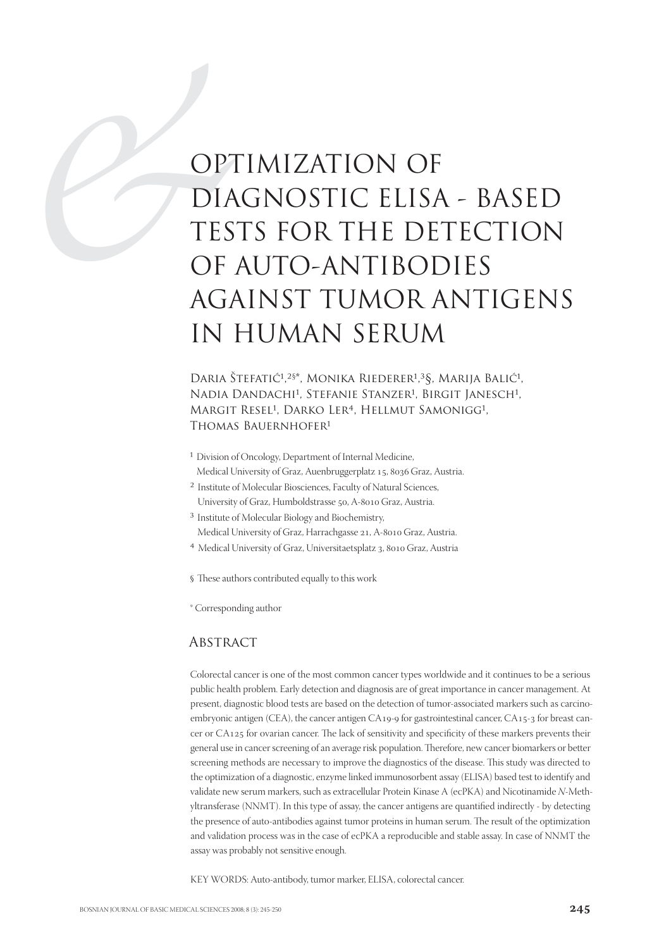# OPT DIA<br>
DIA<br>
TES<br>
OF<br>
AGA OPTIMIZATION OF DIAGNOSTIC ELISA - BASED TESTS FOR THE DETECTION OF AUTO-ANTIBODIES AGAINST TUMOR ANTIGENS IN HUMAN SERUM

Daria Štefatić<sup>1,2§\*</sup>, Monika Riederer<sup>1,3</sup>§, Marija Balić<sup>1</sup>, Nadia Dandachi<sup>1</sup>, Stefanie Stanzer<sup>1</sup>, Birgit Janesch<sup>1</sup>, MARGIT RESEL<sup>1</sup>, DARKO LER<sup>4</sup>, HELLMUT SAMONIGG<sup>1</sup>, THOMAS BAUERNHOFER<sup>1</sup>

- <sup>1</sup> Division of Oncology, Department of Internal Medicine, Medical University of Graz, Auenbruggerplatz 15, 8036 Graz, Austria.
- ² Institute of Molecular Biosciences, Faculty of Natural Sciences,
- University of Graz, Humboldstrasse 50, A-8010 Graz, Austria. <sup>3</sup> Institute of Molecular Biology and Biochemistry,
- Medical University of Graz, Harrachgasse 21, A-8010 Graz, Austria.
- <sup>4</sup> Medical University of Graz, Universitaetsplatz 3, 8010 Graz, Austria
- § These authors contributed equally to this work
- \* Corresponding author

#### **ABSTRACT**

Colorectal cancer is one of the most common cancer types worldwide and it continues to be a serious public health problem. Early detection and diagnosis are of great importance in cancer management. At present, diagnostic blood tests are based on the detection of tumor-associated markers such as carcinoembryonic antigen (CEA), the cancer antigen CA $_{19}$ -9 for gastrointestinal cancer, CA $_{15}$ -3 for breast cancer or CA125 for ovarian cancer. The lack of sensitivity and specificity of these markers prevents their general use in cancer screening of an average risk population. Therefore, new cancer biomarkers or better screening methods are necessary to improve the diagnostics of the disease. This study was directed to the optimization of a diagnostic, enzyme linked immunosorbent assay (ELISA) based test to identify and validate new serum markers, such as extracellular Protein Kinase A (ecPKA) and Nicotinamide N-Methyltransferase (NNMT). In this type of assay, the cancer antigens are quantified indirectly - by detecting the presence of auto-antibodies against tumor proteins in human serum. The result of the optimization and validation process was in the case of ecPKA a reproducible and stable assay. In case of NNMT the assay was probably not sensitive enough.

KEY WORDS: Auto-antibody, tumor marker, ELISA, colorectal cancer.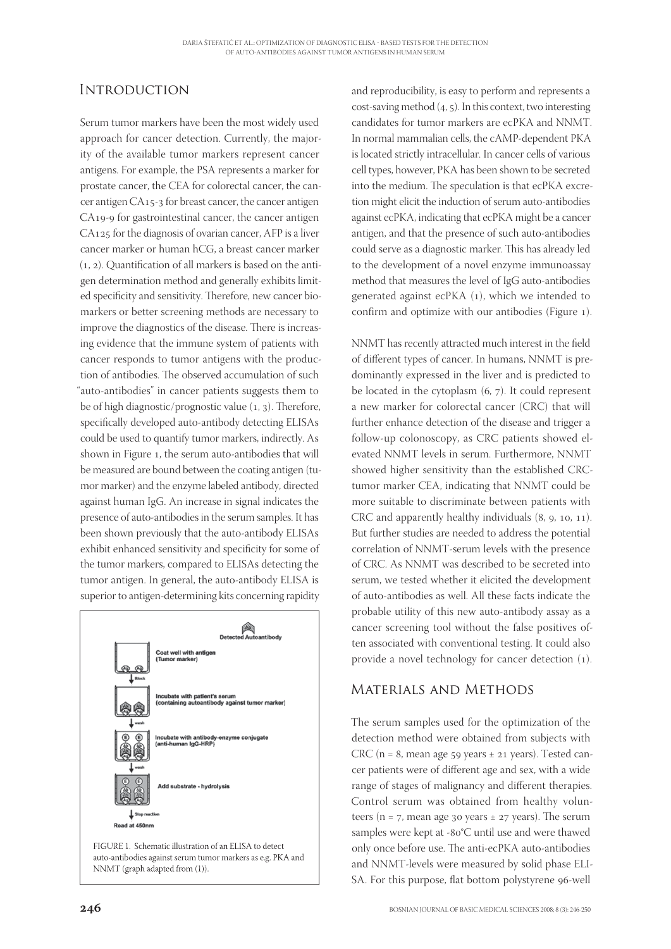## **INTRODUCTION**

Serum tumor markers have been the most widely used approach for cancer detection. Currently, the majority of the available tumor markers represent cancer antigens. For example, the PSA represents a marker for prostate cancer, the CEA for colorectal cancer, the cancer antigen  $CA_{15-3}$  for breast cancer, the cancer antigen CA19-9 for gastrointestinal cancer, the cancer antigen  $CA<sub>125</sub>$  for the diagnosis of ovarian cancer, AFP is a liver cancer marker or human hCG, a breast cancer marker  $(1, 2)$ . Quantification of all markers is based on the antigen determination method and generally exhibits limited specificity and sensitivity. Therefore, new cancer biomarkers or better screening methods are necessary to improve the diagnostics of the disease. There is increasing evidence that the immune system of patients with cancer responds to tumor antigens with the production of antibodies. The observed accumulation of such "auto-antibodies" in cancer patients suggests them to be of high diagnostic/prognostic value  $(1, 3)$ . Therefore, specifically developed auto-antibody detecting ELISAs could be used to quantify tumor markers, indirectly. As shown in Figure 1, the serum auto-antibodies that will be measured are bound between the coating antigen (tumor marker) and the enzyme labeled antibody, directed against human IgG. An increase in signal indicates the presence of auto-antibodies in the serum samples. It has been shown previously that the auto-antibody ELISAs exhibit enhanced sensitivity and specificity for some of the tumor markers, compared to ELISAs detecting the tumor antigen. In general, the auto-antibody ELISA is superior to antigen-determining kits concerning rapidity



and reproducibility, is easy to perform and represents a cost-saving method  $(4, 5)$ . In this context, two interesting candidates for tumor markers are ecPKA and NNMT. In normal mammalian cells, the cAMP-dependent PKA is located strictly intracellular. In cancer cells of various cell types, however, PKA has been shown to be secreted into the medium. The speculation is that ecPKA excretion might elicit the induction of serum auto-antibodies against ecPKA, indicating that ecPKA might be a cancer antigen, and that the presence of such auto-antibodies could serve as a diagnostic marker. This has already led to the development of a novel enzyme immunoassay method that measures the level of IgG auto-antibodies generated against ecPKA  $(1)$ , which we intended to confirm and optimize with our antibodies (Figure ).

NNMT has recently attracted much interest in the field of different types of cancer. In humans, NNMT is predominantly expressed in the liver and is predicted to be located in the cytoplasm  $(6, 7)$ . It could represent a new marker for colorectal cancer (CRC) that will further enhance detection of the disease and trigger a follow-up colonoscopy, as CRC patients showed elevated NNMT levels in serum. Furthermore, NNMT showed higher sensitivity than the established CRCtumor marker CEA, indicating that NNMT could be more suitable to discriminate between patients with CRC and apparently healthy individuals  $(8, 9, 10, 11)$ . But further studies are needed to address the potential correlation of NNMT-serum levels with the presence of CRC. As NNMT was described to be secreted into serum, we tested whether it elicited the development of auto-antibodies as well. All these facts indicate the probable utility of this new auto-antibody assay as a cancer screening tool without the false positives often associated with conventional testing. It could also provide a novel technology for cancer detection  $(1)$ .

## Materials and Methods

The serum samples used for the optimization of the detection method were obtained from subjects with CRC ( $n = 8$ , mean age 59 years  $\pm$  21 years). Tested cancer patients were of different age and sex, with a wide range of stages of malignancy and different therapies. Control serum was obtained from healthy volunteers ( $n = 7$ , mean age 30 years  $\pm$  27 years). The serum samples were kept at -80°C until use and were thawed only once before use. The anti-ecPKA auto-antibodies and NNMT-levels were measured by solid phase ELI-SA. For this purpose, flat bottom polystyrene 96-well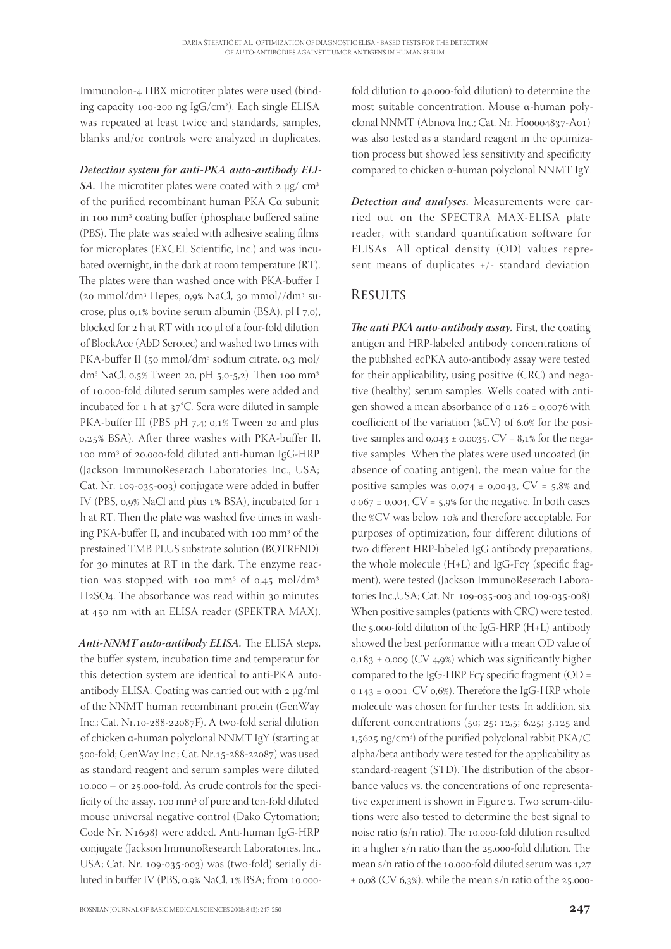Immunolon-4 HBX microtiter plates were used (binding capacity 100-200 ng IgG/cm<sup>2</sup>). Each single ELISA was repeated at least twice and standards, samples, blanks and/or controls were analyzed in duplicates.

#### *Detection system for anti-PKA auto-antibody ELI-*

*SA*. The microtiter plates were coated with 2 μg/ cm<sup>3</sup> of the purified recombinant human PKA Cα subunit in 100 mm<sup>3</sup> coating buffer (phosphate buffered saline (PBS). The plate was sealed with adhesive sealing films for microplates (EXCEL Scientific, Inc.) and was incubated overnight, in the dark at room temperature (RT). The plates were than washed once with PKA-buffer I (20 mmol/dm<sup>3</sup> Hepes, 0,9% NaCl, 30 mmol//dm<sup>3</sup> sucrose, plus  $0.1\%$  bovine serum albumin (BSA), pH  $7,0$ ), blocked for 2 h at RT with 100 µl of a four-fold dilution of BlockAce (AbD Serotec) and washed two times with PKA-buffer II (50 mmol/dm<sup>3</sup> sodium citrate, 0,3 mol/ dm<sup>3</sup> NaCl, 0,5% Tween 20, pH 5,0-5,2). Then 100 mm<sup>3</sup> of 10.000-fold diluted serum samples were added and incubated for  $1$  h at  $37^{\circ}$ C. Sera were diluted in sample PKA-buffer III (PBS pH 7,4; 0,1% Tween 20 and plus 0,25% BSA). After three washes with PKA-buffer II, 100 mm<sup>3</sup> of 20.000-fold diluted anti-human IgG-HRP (Jackson ImmunoReserach Laboratories Inc., USA; Cat. Nr. 109-035-003) conjugate were added in buffer IV (PBS, 0,9% NaCl and plus 1% BSA), incubated for 1 h at RT. Then the plate was washed five times in washing PKA-buffer II, and incubated with 100 mm<sup>3</sup> of the prestained TMB PLUS substrate solution (BOTREND) for  $30$  minutes at RT in the dark. The enzyme reaction was stopped with 100 mm<sup>3</sup> of 0,45 mol/dm<sup>3</sup>  $H<sub>2</sub>SO<sub>4</sub>$ . The absorbance was read within  $30$  minutes at 450 nm with an ELISA reader (SPEKTRA MAX).

Anti-NNMT auto-antibody ELISA. The ELISA steps, the buffer system, incubation time and temperatur for this detection system are identical to anti-PKA autoantibody ELISA. Coating was carried out with μg/ml of the NNMT human recombinant protein (GenWay Inc.; Cat. Nr.10-288-22087F). A two-fold serial dilution of chicken α-human polyclonal NNMT IgY (starting at 500-fold; GenWay Inc.; Cat. Nr.15-288-22087) was used as standard reagent and serum samples were diluted  $10.000 - or 25.000$ -fold. As crude controls for the specificity of the assay, 100 mm<sup>3</sup> of pure and ten-fold diluted mouse universal negative control (Dako Cytomation; Code Nr. N1698) were added. Anti-human IgG-HRP conjugate (Jackson ImmunoResearch Laboratories, Inc., USA; Cat. Nr. 109-035-003) was (two-fold) serially diluted in buffer IV (PBS, 0,9% NaCl, 1% BSA; from 10.000fold dilution to 40.000-fold dilution) to determine the most suitable concentration. Mouse α-human polyclonal NNMT (Abnova Inc.; Cat. Nr. H00004837-A01) was also tested as a standard reagent in the optimization process but showed less sensitivity and specificity compared to chicken α-human polyclonal NNMT IgY.

*Detection and analyses.* Measurements were carried out on the SPECTRA MAX-ELISA plate reader, with standard quantification software for ELISAs. All optical density (OD) values represent means of duplicates +/- standard deviation.

### **RESULTS**

*The anti PKA auto-antibody assay.* First, the coating antigen and HRP-labeled antibody concentrations of the published ecPKA auto-antibody assay were tested for their applicability, using positive (CRC) and negative (healthy) serum samples. Wells coated with antigen showed a mean absorbance of  $0,126 \pm 0,0076$  with coefficient of the variation  $(\%CV)$  of 6,0% for the positive samples and  $0.043 \pm 0.0035$ , CV =  $8.1\%$  for the negative samples. When the plates were used uncoated (in absence of coating antigen), the mean value for the positive samples was  $0.074 \pm 0.0043$ , CV = 5,8% and  $0.067 \pm 0.004$ , CV = 5,9% for the negative. In both cases the %CV was below 10% and therefore acceptable. For purposes of optimization, four different dilutions of two different HRP-labeled IgG antibody preparations, the whole molecule  $(H+L)$  and IgG-Fc $\gamma$  (specific fragment), were tested (Jackson ImmunoReserach Laboratories Inc., USA; Cat. Nr. 109-035-003 and 109-035-008). When positive samples (patients with CRC) were tested, the  $5.000$ -fold dilution of the IgG-HRP (H+L) antibody showed the best performance with a mean OD value of  $0.183 \pm 0.009$  (CV 4.9%) which was significantly higher compared to the IgG-HRP Fcγ specific fragment (OD =  $0.143 \pm 0.001$ , CV  $0.6\%$ ). Therefore the IgG-HRP whole molecule was chosen for further tests. In addition, six different concentrations  $(50; 25; 12,5; 6,25; 3,125$  and 1,5625 ng/cm<sup>3</sup>) of the purified polyclonal rabbit PKA/C alpha/beta antibody were tested for the applicability as standard-reagent (STD). The distribution of the absorbance values vs. the concentrations of one representative experiment is shown in Figure 2. Two serum-dilutions were also tested to determine the best signal to noise ratio (s/n ratio). The 10.000-fold dilution resulted in a higher  $s/n$  ratio than the 25,000-fold dilution. The mean s/n ratio of the 10.000-fold diluted serum was 1,27  $\pm$  0,08 (CV 6,3%), while the mean s/n ratio of the 25.000-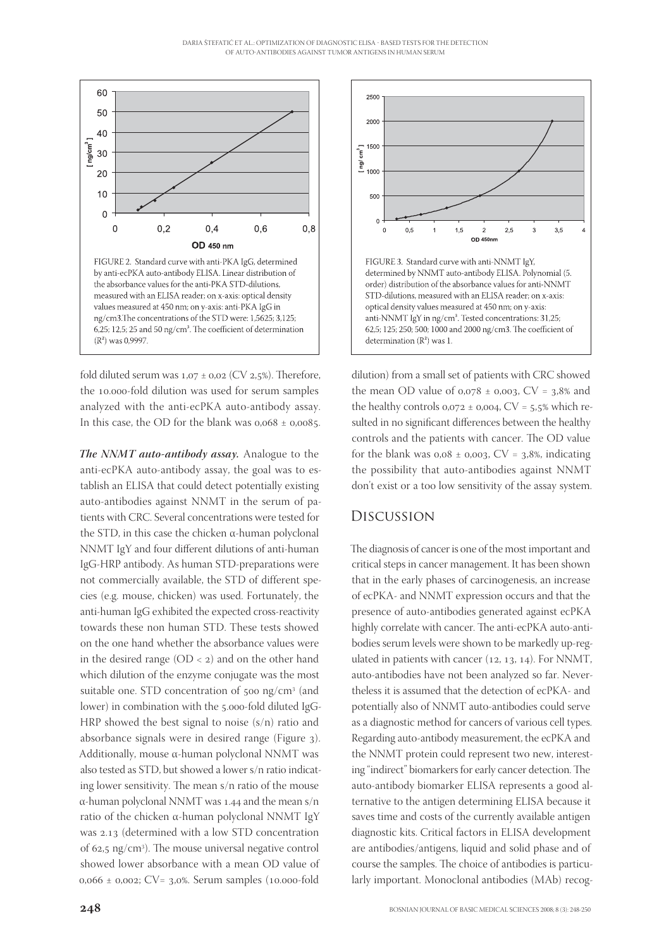

fold diluted serum was  $1,07 \pm 0.02$  (CV 2,5%). Therefore, the 10.000-fold dilution was used for serum samples analyzed with the anti-ecPKA auto-antibody assay. In this case, the OD for the blank was  $0.068 \pm 0.0085$ .

*The NNMT auto-antibody assay.* Analogue to the anti-ecPKA auto-antibody assay, the goal was to establish an ELISA that could detect potentially existing auto-antibodies against NNMT in the serum of patients with CRC. Several concentrations were tested for the STD, in this case the chicken α-human polyclonal NNMT IgY and four different dilutions of anti-human IgG-HRP antibody. As human STD-preparations were not commercially available, the STD of different species (e.g. mouse, chicken) was used. Fortunately, the anti-human IgG exhibited the expected cross-reactivity towards these non human STD. These tests showed on the one hand whether the absorbance values were in the desired range  $(OD < 2)$  and on the other hand which dilution of the enzyme conjugate was the most suitable one. STD concentration of  $500 \text{ ng/cm}^3$  (and lower) in combination with the 5.000-fold diluted IgG-HRP showed the best signal to noise (s/n) ratio and absorbance signals were in desired range (Figure 3). Additionally, mouse α-human polyclonal NNMT was also tested as STD, but showed a lower s/n ratio indicating lower sensitivity. The mean s/n ratio of the mouse α-human polyclonal NNMT was 1.44 and the mean  $s/n$ ratio of the chicken α-human polyclonal NNMT IgY was 2.13 (determined with a low STD concentration of 62,5 ng/cm<sup>3</sup>). The mouse universal negative control showed lower absorbance with a mean OD value of  $0,066 \pm 0,002$ ; CV= 3,0%. Serum samples (10.000-fold



dilution) from a small set of patients with CRC showed the mean OD value of  $0.078 \pm 0.003$ , CV = 3.8% and the healthy controls  $0.072 \pm 0.004$ , CV = 5.5% which resulted in no significant differences between the healthy controls and the patients with cancer. The OD value for the blank was  $0.08 \pm 0.003$ , CV = 3,8%, indicating the possibility that auto-antibodies against NNMT don't exist or a too low sensitivity of the assay system.

### Discussion

The diagnosis of cancer is one of the most important and critical steps in cancer management. It has been shown that in the early phases of carcinogenesis, an increase of ecPKA- and NNMT expression occurs and that the presence of auto-antibodies generated against ecPKA highly correlate with cancer. The anti-ecPKA auto-antibodies serum levels were shown to be markedly up-regulated in patients with cancer  $(12, 13, 14)$ . For NNMT, auto-antibodies have not been analyzed so far. Nevertheless it is assumed that the detection of ecPKA- and potentially also of NNMT auto-antibodies could serve as a diagnostic method for cancers of various cell types. Regarding auto-antibody measurement, the ecPKA and the NNMT protein could represent two new, interesting "indirect" biomarkers for early cancer detection. The auto-antibody biomarker ELISA represents a good alternative to the antigen determining ELISA because it saves time and costs of the currently available antigen diagnostic kits. Critical factors in ELISA development are antibodies/antigens, liquid and solid phase and of course the samples. The choice of antibodies is particularly important. Monoclonal antibodies (MAb) recog-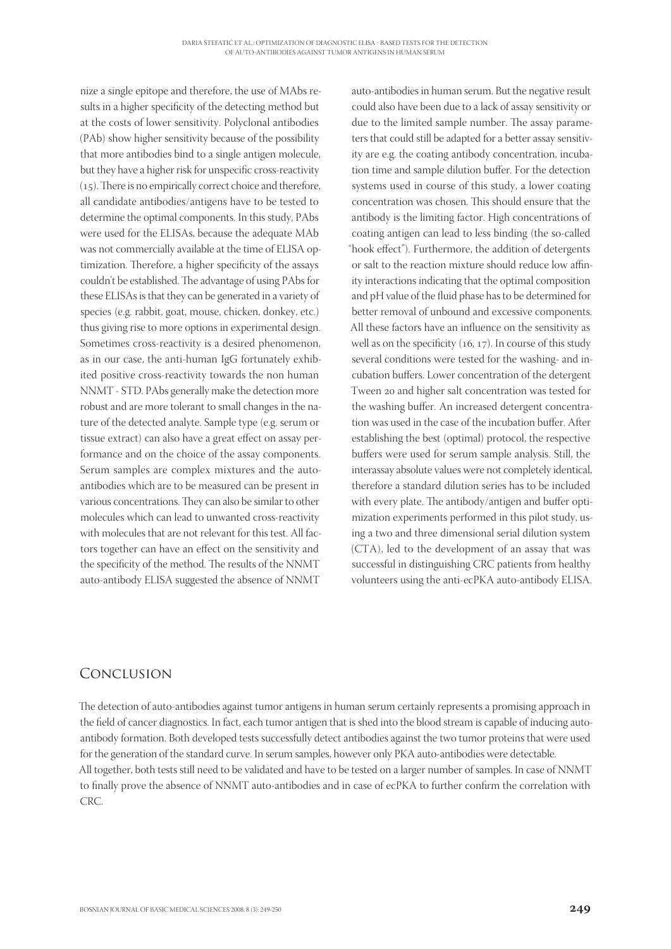nize a single epitope and therefore, the use of MAbs results in a higher specificity of the detecting method but at the costs of lower sensitivity. Polyclonal antibodies (PAb) show higher sensitivity because of the possibility that more antibodies bind to a single antigen molecule, but they have a higher risk for unspecific cross-reactivity  $(15)$ . There is no empirically correct choice and therefore, all candidate antibodies/antigens have to be tested to determine the optimal components. In this study, PAbs were used for the ELISAs, because the adequate MAb was not commercially available at the time of ELISA optimization. Therefore, a higher specificity of the assays couldn't be established. The advantage of using PAbs for these ELISAs is that they can be generated in a variety of species (e.g. rabbit, goat, mouse, chicken, donkey, etc.) thus giving rise to more options in experimental design. Sometimes cross-reactivity is a desired phenomenon, as in our case, the anti-human IgG fortunately exhibited positive cross-reactivity towards the non human NNMT - STD. PAbs generally make the detection more robust and are more tolerant to small changes in the nature of the detected analyte. Sample type (e.g. serum or tissue extract) can also have a great effect on assay performance and on the choice of the assay components. Serum samples are complex mixtures and the autoantibodies which are to be measured can be present in various concentrations. They can also be similar to other molecules which can lead to unwanted cross-reactivity with molecules that are not relevant for this test. All factors together can have an effect on the sensitivity and the specificity of the method. The results of the NNMT auto-antibody ELISA suggested the absence of NNMT

auto-antibodies in human serum. But the negative result could also have been due to a lack of assay sensitivity or due to the limited sample number. The assay parameters that could still be adapted for a better assay sensitivity are e.g. the coating antibody concentration, incubation time and sample dilution buffer. For the detection systems used in course of this study, a lower coating concentration was chosen. This should ensure that the antibody is the limiting factor. High concentrations of coating antigen can lead to less binding (the so-called "hook effect"). Furthermore, the addition of detergents or salt to the reaction mixture should reduce low affinity interactions indicating that the optimal composition and pH value of the fluid phase has to be determined for better removal of unbound and excessive components. All these factors have an influence on the sensitivity as well as on the specificity  $(16, 17)$ . In course of this study several conditions were tested for the washing- and incubation buffers. Lower concentration of the detergent Tween 20 and higher salt concentration was tested for the washing buffer. An increased detergent concentration was used in the case of the incubation buffer. After establishing the best (optimal) protocol, the respective buffers were used for serum sample analysis. Still, the interassay absolute values were not completely identical, therefore a standard dilution series has to be included with every plate. The antibody/antigen and buffer optimization experiments performed in this pilot study, using a two and three dimensional serial dilution system (CTA), led to the development of an assay that was successful in distinguishing CRC patients from healthy volunteers using the anti-ecPKA auto-antibody ELISA.

### Conclusion

The detection of auto-antibodies against tumor antigens in human serum certainly represents a promising approach in the field of cancer diagnostics. In fact, each tumor antigen that is shed into the blood stream is capable of inducing autoantibody formation. Both developed tests successfully detect antibodies against the two tumor proteins that were used for the generation of the standard curve. In serum samples, however only PKA auto-antibodies were detectable. All together, both tests still need to be validated and have to be tested on a larger number of samples. In case of NNMT to finally prove the absence of NNMT auto-antibodies and in case of ecPKA to further confirm the correlation with CRC.